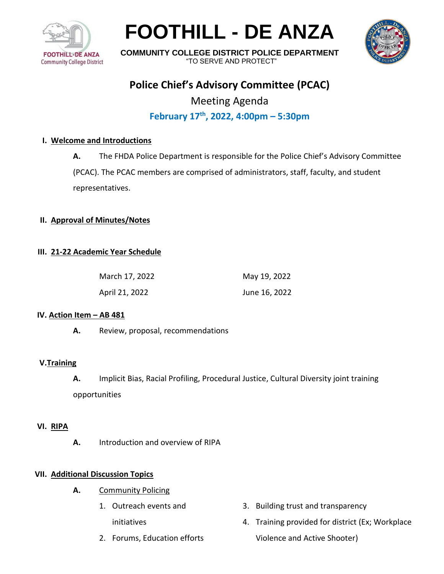

**FOOTHILL - DE ANZA**



**COMMUNITY COLLEGE DISTRICT POLICE DEPARTMENT** "TO SERVE AND PROTECT"

# **Police Chief's Advisory Committee (PCAC)**

Meeting Agenda **February 17th , 2022, 4:00pm – 5:30pm**

## **I. Welcome and Introductions**

**A.** The FHDA Police Department is responsible for the Police Chief's Advisory Committee

(PCAC). The PCAC members are comprised of administrators, staff, faculty, and student representatives.

#### **II. Approval of Minutes/Notes**

## **III. 21-22 Academic Year Schedule**

| March 17, 2022 | May 19, 2022  |
|----------------|---------------|
| April 21, 2022 | June 16, 2022 |

#### **IV. Action Item – AB 481**

**A.** Review, proposal, recommendations

# **V.Training**

**A.** Implicit Bias, Racial Profiling, Procedural Justice, Cultural Diversity joint training opportunities

#### **VI. RIPA**

**A.** Introduction and overview of RIPA

#### **VII. Additional Discussion Topics**

- **A.** Community Policing
	- 1. Outreach events and initiatives
	- 2. Forums, Education efforts
- 3. Building trust and transparency
- 4. Training provided for district (Ex; Workplace Violence and Active Shooter)